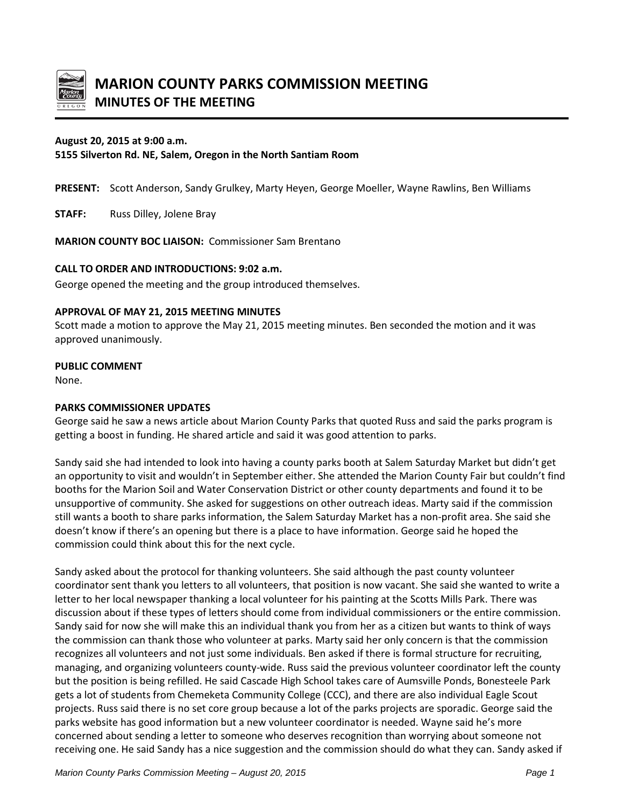

## **August 20, 2015 at 9:00 a.m.**

# **5155 Silverton Rd. NE, Salem, Oregon in the North Santiam Room**

**PRESENT:** Scott Anderson, Sandy Grulkey, Marty Heyen, George Moeller, Wayne Rawlins, Ben Williams

**STAFF:** Russ Dilley, Jolene Bray

**MARION COUNTY BOC LIAISON:** Commissioner Sam Brentano

### **CALL TO ORDER AND INTRODUCTIONS: 9:02 a.m.**

George opened the meeting and the group introduced themselves.

#### **APPROVAL OF MAY 21, 2015 MEETING MINUTES**

Scott made a motion to approve the May 21, 2015 meeting minutes. Ben seconded the motion and it was approved unanimously.

## **PUBLIC COMMENT**

None.

#### **PARKS COMMISSIONER UPDATES**

George said he saw a news article about Marion County Parks that quoted Russ and said the parks program is getting a boost in funding. He shared article and said it was good attention to parks.

Sandy said she had intended to look into having a county parks booth at Salem Saturday Market but didn't get an opportunity to visit and wouldn't in September either. She attended the Marion County Fair but couldn't find booths for the Marion Soil and Water Conservation District or other county departments and found it to be unsupportive of community. She asked for suggestions on other outreach ideas. Marty said if the commission still wants a booth to share parks information, the Salem Saturday Market has a non-profit area. She said she doesn't know if there's an opening but there is a place to have information. George said he hoped the commission could think about this for the next cycle.

Sandy asked about the protocol for thanking volunteers. She said although the past county volunteer coordinator sent thank you letters to all volunteers, that position is now vacant. She said she wanted to write a letter to her local newspaper thanking a local volunteer for his painting at the Scotts Mills Park. There was discussion about if these types of letters should come from individual commissioners or the entire commission. Sandy said for now she will make this an individual thank you from her as a citizen but wants to think of ways the commission can thank those who volunteer at parks. Marty said her only concern is that the commission recognizes all volunteers and not just some individuals. Ben asked if there is formal structure for recruiting, managing, and organizing volunteers county-wide. Russ said the previous volunteer coordinator left the county but the position is being refilled. He said Cascade High School takes care of Aumsville Ponds, Bonesteele Park gets a lot of students from Chemeketa Community College (CCC), and there are also individual Eagle Scout projects. Russ said there is no set core group because a lot of the parks projects are sporadic. George said the parks website has good information but a new volunteer coordinator is needed. Wayne said he's more concerned about sending a letter to someone who deserves recognition than worrying about someone not receiving one. He said Sandy has a nice suggestion and the commission should do what they can. Sandy asked if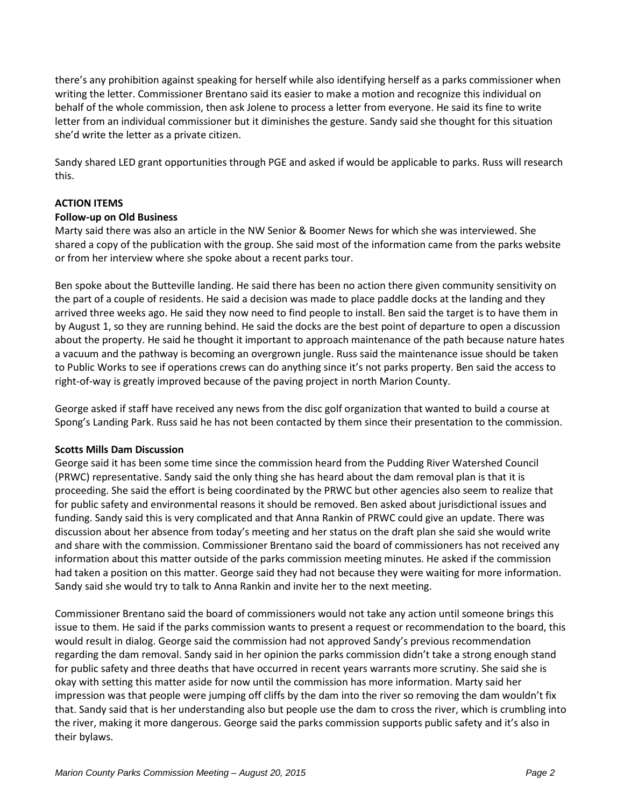there's any prohibition against speaking for herself while also identifying herself as a parks commissioner when writing the letter. Commissioner Brentano said its easier to make a motion and recognize this individual on behalf of the whole commission, then ask Jolene to process a letter from everyone. He said its fine to write letter from an individual commissioner but it diminishes the gesture. Sandy said she thought for this situation she'd write the letter as a private citizen.

Sandy shared LED grant opportunities through PGE and asked if would be applicable to parks. Russ will research this.

## **ACTION ITEMS**

## **Follow-up on Old Business**

Marty said there was also an article in the NW Senior & Boomer News for which she was interviewed. She shared a copy of the publication with the group. She said most of the information came from the parks website or from her interview where she spoke about a recent parks tour.

Ben spoke about the Butteville landing. He said there has been no action there given community sensitivity on the part of a couple of residents. He said a decision was made to place paddle docks at the landing and they arrived three weeks ago. He said they now need to find people to install. Ben said the target is to have them in by August 1, so they are running behind. He said the docks are the best point of departure to open a discussion about the property. He said he thought it important to approach maintenance of the path because nature hates a vacuum and the pathway is becoming an overgrown jungle. Russ said the maintenance issue should be taken to Public Works to see if operations crews can do anything since it's not parks property. Ben said the access to right-of-way is greatly improved because of the paving project in north Marion County.

George asked if staff have received any news from the disc golf organization that wanted to build a course at Spong's Landing Park. Russ said he has not been contacted by them since their presentation to the commission.

## **Scotts Mills Dam Discussion**

George said it has been some time since the commission heard from the Pudding River Watershed Council (PRWC) representative. Sandy said the only thing she has heard about the dam removal plan is that it is proceeding. She said the effort is being coordinated by the PRWC but other agencies also seem to realize that for public safety and environmental reasons it should be removed. Ben asked about jurisdictional issues and funding. Sandy said this is very complicated and that Anna Rankin of PRWC could give an update. There was discussion about her absence from today's meeting and her status on the draft plan she said she would write and share with the commission. Commissioner Brentano said the board of commissioners has not received any information about this matter outside of the parks commission meeting minutes. He asked if the commission had taken a position on this matter. George said they had not because they were waiting for more information. Sandy said she would try to talk to Anna Rankin and invite her to the next meeting.

Commissioner Brentano said the board of commissioners would not take any action until someone brings this issue to them. He said if the parks commission wants to present a request or recommendation to the board, this would result in dialog. George said the commission had not approved Sandy's previous recommendation regarding the dam removal. Sandy said in her opinion the parks commission didn't take a strong enough stand for public safety and three deaths that have occurred in recent years warrants more scrutiny. She said she is okay with setting this matter aside for now until the commission has more information. Marty said her impression was that people were jumping off cliffs by the dam into the river so removing the dam wouldn't fix that. Sandy said that is her understanding also but people use the dam to cross the river, which is crumbling into the river, making it more dangerous. George said the parks commission supports public safety and it's also in their bylaws.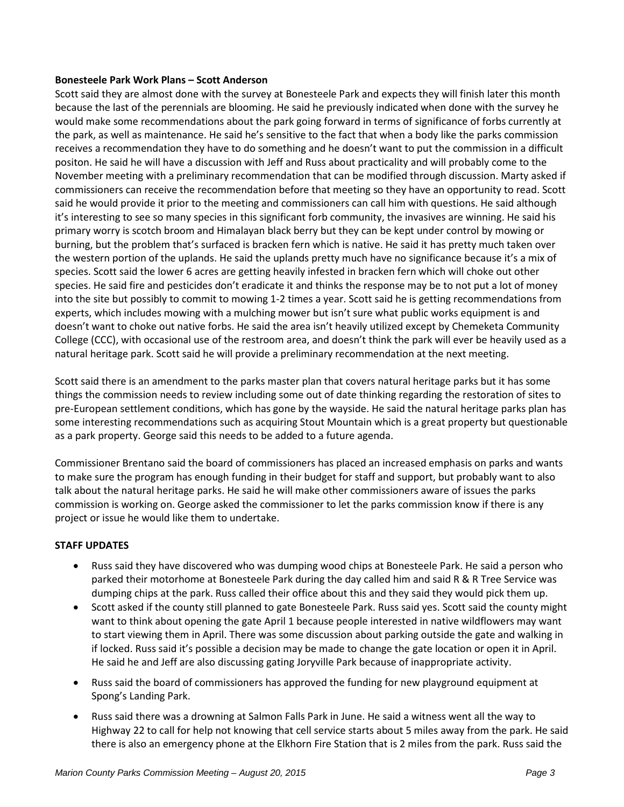#### **Bonesteele Park Work Plans – Scott Anderson**

Scott said they are almost done with the survey at Bonesteele Park and expects they will finish later this month because the last of the perennials are blooming. He said he previously indicated when done with the survey he would make some recommendations about the park going forward in terms of significance of forbs currently at the park, as well as maintenance. He said he's sensitive to the fact that when a body like the parks commission receives a recommendation they have to do something and he doesn't want to put the commission in a difficult positon. He said he will have a discussion with Jeff and Russ about practicality and will probably come to the November meeting with a preliminary recommendation that can be modified through discussion. Marty asked if commissioners can receive the recommendation before that meeting so they have an opportunity to read. Scott said he would provide it prior to the meeting and commissioners can call him with questions. He said although it's interesting to see so many species in this significant forb community, the invasives are winning. He said his primary worry is scotch broom and Himalayan black berry but they can be kept under control by mowing or burning, but the problem that's surfaced is bracken fern which is native. He said it has pretty much taken over the western portion of the uplands. He said the uplands pretty much have no significance because it's a mix of species. Scott said the lower 6 acres are getting heavily infested in bracken fern which will choke out other species. He said fire and pesticides don't eradicate it and thinks the response may be to not put a lot of money into the site but possibly to commit to mowing 1-2 times a year. Scott said he is getting recommendations from experts, which includes mowing with a mulching mower but isn't sure what public works equipment is and doesn't want to choke out native forbs. He said the area isn't heavily utilized except by Chemeketa Community College (CCC), with occasional use of the restroom area, and doesn't think the park will ever be heavily used as a natural heritage park. Scott said he will provide a preliminary recommendation at the next meeting.

Scott said there is an amendment to the parks master plan that covers natural heritage parks but it has some things the commission needs to review including some out of date thinking regarding the restoration of sites to pre-European settlement conditions, which has gone by the wayside. He said the natural heritage parks plan has some interesting recommendations such as acquiring Stout Mountain which is a great property but questionable as a park property. George said this needs to be added to a future agenda.

Commissioner Brentano said the board of commissioners has placed an increased emphasis on parks and wants to make sure the program has enough funding in their budget for staff and support, but probably want to also talk about the natural heritage parks. He said he will make other commissioners aware of issues the parks commission is working on. George asked the commissioner to let the parks commission know if there is any project or issue he would like them to undertake.

## **STAFF UPDATES**

- Russ said they have discovered who was dumping wood chips at Bonesteele Park. He said a person who parked their motorhome at Bonesteele Park during the day called him and said R & R Tree Service was dumping chips at the park. Russ called their office about this and they said they would pick them up.
- Scott asked if the county still planned to gate Bonesteele Park. Russ said yes. Scott said the county might want to think about opening the gate April 1 because people interested in native wildflowers may want to start viewing them in April. There was some discussion about parking outside the gate and walking in if locked. Russ said it's possible a decision may be made to change the gate location or open it in April. He said he and Jeff are also discussing gating Joryville Park because of inappropriate activity.
- Russ said the board of commissioners has approved the funding for new playground equipment at Spong's Landing Park.
- Russ said there was a drowning at Salmon Falls Park in June. He said a witness went all the way to Highway 22 to call for help not knowing that cell service starts about 5 miles away from the park. He said there is also an emergency phone at the Elkhorn Fire Station that is 2 miles from the park. Russ said the